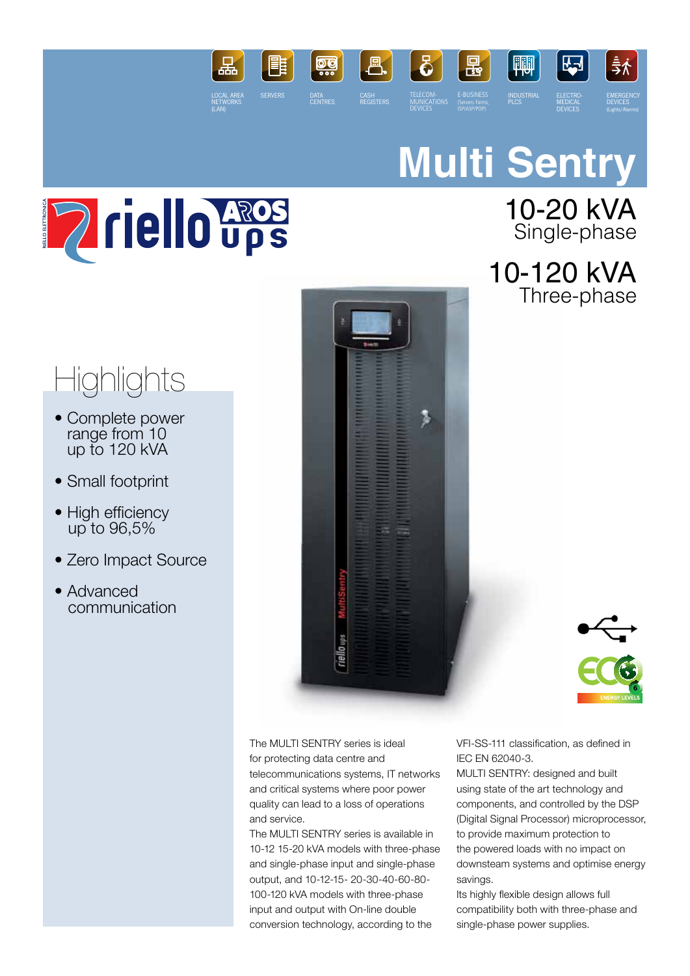

# **Multi Sentry**



### 10-20 kVA Single-phase

10-120 kVA Three-phase

## **Highlights**

- Complete power range from 10 up to 120 kVA
- Small footprint
- High efficiency up to 96,5%
- Zero Impact Source
- Advanced communication





The MULTI SENTRY series is ideal for protecting data centre and telecommunications systems, IT networks and critical systems where poor power quality can lead to a loss of operations and service.

The MULTI SENTRY series is available in 10-12 15-20 kVA models with three-phase and single-phase input and single-phase output, and 10-12-15- 20-30-40-60-80- 100-120 kVA models with three-phase input and output with On-line double conversion technology, according to the

VFI-SS-111 classification, as defined in IEC EN 62040-3.

MULTI SENTRY: designed and built using state of the art technology and components, and controlled by the DSP (Digital Signal Processor) microprocessor, to provide maximum protection to the powered loads with no impact on downsteam systems and optimise energy savings.

Its highly flexible design allows full compatibility both with three-phase and single-phase power supplies.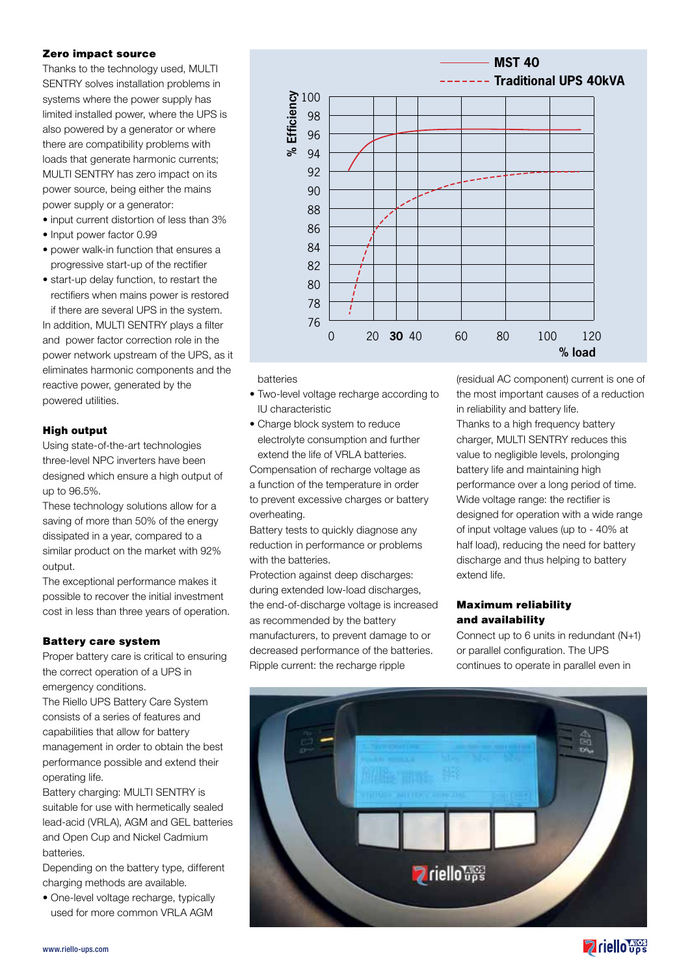#### Zero impact source

Thanks to the technology used, MULTI SENTRY solves installation problems in systems where the power supply has limited installed power, where the UPS is also powered by a generator or where there are compatibility problems with loads that generate harmonic currents; MULTI SENTRY has zero impact on its power source, being either the mains power supply or a generator:

- input current distortion of less than 3%
- Input power factor 0.99
- power walk-in function that ensures a progressive start-up of the rectifier
- start-up delay function, to restart the rectifiers when mains power is restored

if there are several UPS in the system. In addition, MULTI SENTRY plays a filter and power factor correction role in the power network upstream of the UPS, as it eliminates harmonic components and the reactive power, generated by the powered utilities.

#### High output

Using state-of-the-art technologies three-level NPC inverters have been designed which ensure a high output of up to 96.5%.

These technology solutions allow for a saving of more than 50% of the energy dissipated in a year, compared to a similar product on the market with 92% output.

The exceptional performance makes it possible to recover the initial investment cost in less than three years of operation.

#### Battery care system

Proper battery care is critical to ensuring the correct operation of a UPS in emergency conditions.

The Riello UPS Battery Care System consists of a series of features and capabilities that allow for battery management in order to obtain the best performance possible and extend their operating life.

Battery charging: MULTI SENTRY is suitable for use with hermetically sealed lead-acid (VRLA), AGM and GEL batteries and Open Cup and Nickel Cadmium batteries.

Depending on the battery type, different charging methods are available.

• One-level voltage recharge, typically used for more common VRLA AGM



#### batteries

- Two-level voltage recharge according to IU characteristic
- Charge block system to reduce electrolyte consumption and further extend the life of VRLA batteries.

Compensation of recharge voltage as a function of the temperature in order to prevent excessive charges or battery overheating.

Battery tests to quickly diagnose any reduction in performance or problems with the batteries.

Protection against deep discharges: during extended low-load discharges, the end-of-discharge voltage is increased as recommended by the battery manufacturers, to prevent damage to or decreased performance of the batteries. Ripple current: the recharge ripple

(residual AC component) current is one of the most important causes of a reduction in reliability and battery life.

Thanks to a high frequency battery charger, MULTI SENTRY reduces this value to negligible levels, prolonging battery life and maintaining high performance over a long period of time. Wide voltage range: the rectifier is designed for operation with a wide range of input voltage values (up to - 40% at half load), reducing the need for battery discharge and thus helping to battery extend life.

#### Maximum reliability and availability

Connect up to 6 units in redundant (N+1) or parallel configuration. The UPS continues to operate in parallel even in



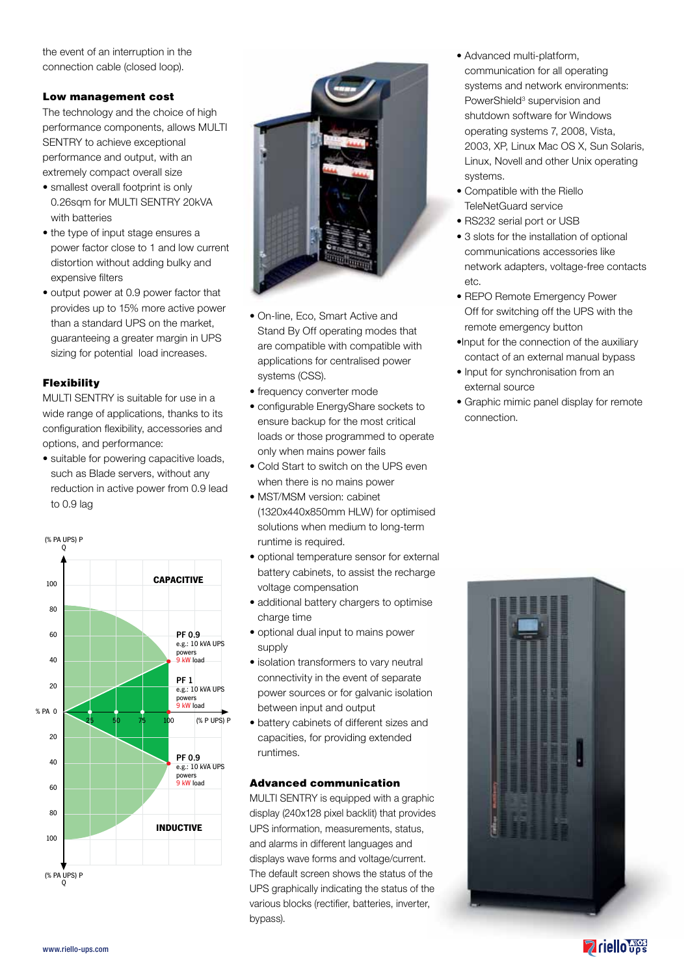the event of an interruption in the connection cable (closed loop).

#### Low management cost

The technology and the choice of high performance components, allows MULTI SENTRY to achieve exceptional performance and output, with an extremely compact overall size

- smallest overall footprint is only 0.26sqm for MULTI SENTRY 20kVA with batteries
- the type of input stage ensures a power factor close to 1 and low current distortion without adding bulky and expensive filters
- output power at 0.9 power factor that provides up to 15% more active power than a standard UPS on the market, guaranteeing a greater margin in UPS sizing for potential load increases.

#### Flexibility

MULTI SENTRY is suitable for use in a wide range of applications, thanks to its configuration flexibility, accessories and options, and performance:

• suitable for powering capacitive loads, such as Blade servers, without any reduction in active power from 0.9 lead to 0.9 lag





- On-line, Eco, Smart Active and Stand By Off operating modes that are compatible with compatible with applications for centralised power systems (CSS).
- frequency converter mode
- configurable EnergyShare sockets to ensure backup for the most critical loads or those programmed to operate only when mains power fails
- Cold Start to switch on the UPS even when there is no mains power
- MST/MSM version: cabinet (1320x440x850mm HLW) for optimised solutions when medium to long-term runtime is required.
- optional temperature sensor for external battery cabinets, to assist the recharge voltage compensation
- additional battery chargers to optimise charge time
- optional dual input to mains power supply
- isolation transformers to vary neutral connectivity in the event of separate power sources or for galvanic isolation between input and output
- battery cabinets of different sizes and capacities, for providing extended runtimes.

#### Advanced communication

MULTI SENTRY is equipped with a graphic display (240x128 pixel backlit) that provides UPS information, measurements, status, and alarms in different languages and displays wave forms and voltage/current. The default screen shows the status of the UPS graphically indicating the status of the various blocks (rectifier, batteries, inverter, bypass).

- Advanced multi-platform, communication for all operating systems and network environments: PowerShield<sup>3</sup> supervision and shutdown software for Windows operating systems 7, 2008, Vista, 2003, XP, Linux Mac OS X, Sun Solaris, Linux, Novell and other Unix operating systems.
- Compatible with the Riello TeleNetGuard service
- RS232 serial port or USB
- 3 slots for the installation of optional communications accessories like network adapters, voltage-free contacts etc.
- REPO Remote Emergency Power Off for switching off the UPS with the remote emergency button
- •Input for the connection of the auxiliary contact of an external manual bypass
- Input for synchronisation from an external source
- Graphic mimic panel display for remote connection.

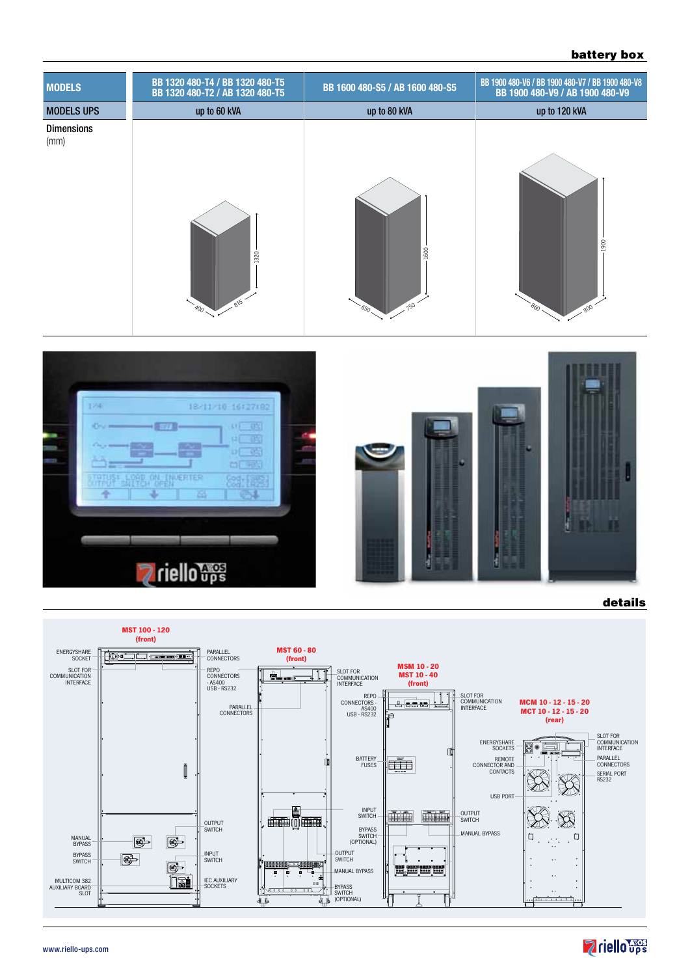#### battery box





details



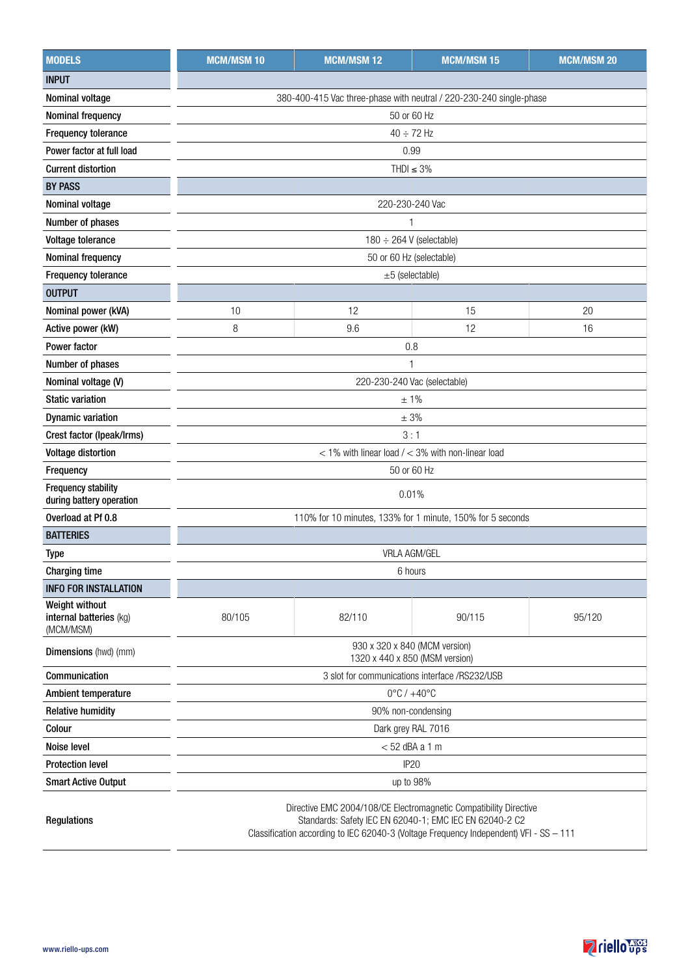| <b>MODELS</b>                                          | <b>MCM/MSM10</b>                                                                                                             | <b>MCM/MSM12</b>                                           | <b>MCM/MSM 15</b> | <b>MCM/MSM 20</b> |  |  |  |  |  |  |
|--------------------------------------------------------|------------------------------------------------------------------------------------------------------------------------------|------------------------------------------------------------|-------------------|-------------------|--|--|--|--|--|--|
| <b>INPUT</b>                                           |                                                                                                                              |                                                            |                   |                   |  |  |  |  |  |  |
| Nominal voltage                                        | 380-400-415 Vac three-phase with neutral / 220-230-240 single-phase                                                          |                                                            |                   |                   |  |  |  |  |  |  |
| Nominal frequency                                      | 50 or 60 Hz                                                                                                                  |                                                            |                   |                   |  |  |  |  |  |  |
| Frequency tolerance                                    | $40 \div 72$ Hz                                                                                                              |                                                            |                   |                   |  |  |  |  |  |  |
| Power factor at full load                              |                                                                                                                              | 0.99                                                       |                   |                   |  |  |  |  |  |  |
| <b>Current distortion</b>                              | THDI $\leq$ 3%                                                                                                               |                                                            |                   |                   |  |  |  |  |  |  |
| <b>BY PASS</b>                                         |                                                                                                                              |                                                            |                   |                   |  |  |  |  |  |  |
| Nominal voltage                                        |                                                                                                                              | 220-230-240 Vac                                            |                   |                   |  |  |  |  |  |  |
| Number of phases                                       | $\mathbf{1}$                                                                                                                 |                                                            |                   |                   |  |  |  |  |  |  |
| Voltage tolerance                                      | $180 \div 264$ V (selectable)                                                                                                |                                                            |                   |                   |  |  |  |  |  |  |
| Nominal frequency                                      | 50 or 60 Hz (selectable)                                                                                                     |                                                            |                   |                   |  |  |  |  |  |  |
| Frequency tolerance                                    | $±5$ (selectable)                                                                                                            |                                                            |                   |                   |  |  |  |  |  |  |
| <b>OUTPUT</b>                                          |                                                                                                                              |                                                            |                   |                   |  |  |  |  |  |  |
| Nominal power (kVA)                                    | 10                                                                                                                           | 12                                                         | 15                | 20                |  |  |  |  |  |  |
| Active power (kW)                                      | 8                                                                                                                            | 9.6                                                        | 12                | 16                |  |  |  |  |  |  |
| <b>Power factor</b>                                    | 0.8                                                                                                                          |                                                            |                   |                   |  |  |  |  |  |  |
| Number of phases                                       | 1                                                                                                                            |                                                            |                   |                   |  |  |  |  |  |  |
| Nominal voltage (V)                                    | 220-230-240 Vac (selectable)                                                                                                 |                                                            |                   |                   |  |  |  |  |  |  |
| <b>Static variation</b>                                | ±1%                                                                                                                          |                                                            |                   |                   |  |  |  |  |  |  |
| <b>Dynamic variation</b>                               | ± 3%                                                                                                                         |                                                            |                   |                   |  |  |  |  |  |  |
| Crest factor (Ipeak/Irms)                              | 3:1                                                                                                                          |                                                            |                   |                   |  |  |  |  |  |  |
| <b>Voltage distortion</b>                              | $<$ 1% with linear load $/$ < 3% with non-linear load                                                                        |                                                            |                   |                   |  |  |  |  |  |  |
| Frequency                                              | 50 or 60 Hz                                                                                                                  |                                                            |                   |                   |  |  |  |  |  |  |
| <b>Frequency stability</b><br>during battery operation | 0.01%                                                                                                                        |                                                            |                   |                   |  |  |  |  |  |  |
| Overload at Pf 0.8                                     |                                                                                                                              | 110% for 10 minutes, 133% for 1 minute, 150% for 5 seconds |                   |                   |  |  |  |  |  |  |
| <b>BATTERIES</b>                                       |                                                                                                                              |                                                            |                   |                   |  |  |  |  |  |  |
| Type                                                   | <b>VRLA AGM/GEL</b>                                                                                                          |                                                            |                   |                   |  |  |  |  |  |  |
| <b>Charging time</b>                                   | 6 hours                                                                                                                      |                                                            |                   |                   |  |  |  |  |  |  |
| <b>INFO FOR INSTALLATION</b>                           |                                                                                                                              |                                                            |                   |                   |  |  |  |  |  |  |
| Weight without<br>internal batteries (kg)<br>(MCM/MSM) | 80/105                                                                                                                       | 82/110                                                     | 90/115            | 95/120            |  |  |  |  |  |  |
| Dimensions (hwd) (mm)                                  | 930 x 320 x 840 (MCM version)<br>1320 x 440 x 850 (MSM version)                                                              |                                                            |                   |                   |  |  |  |  |  |  |
| Communication                                          | 3 slot for communications interface /RS232/USB                                                                               |                                                            |                   |                   |  |  |  |  |  |  |
| <b>Ambient temperature</b>                             |                                                                                                                              | $0^{\circ}$ C / $+40^{\circ}$ C                            |                   |                   |  |  |  |  |  |  |
| <b>Relative humidity</b>                               |                                                                                                                              | 90% non-condensing                                         |                   |                   |  |  |  |  |  |  |
| Colour                                                 | Dark grey RAL 7016                                                                                                           |                                                            |                   |                   |  |  |  |  |  |  |
| Noise level                                            | $<$ 52 dBA a 1 m                                                                                                             |                                                            |                   |                   |  |  |  |  |  |  |
| <b>Protection level</b>                                | <b>IP20</b>                                                                                                                  |                                                            |                   |                   |  |  |  |  |  |  |
| <b>Smart Active Output</b>                             | up to 98%                                                                                                                    |                                                            |                   |                   |  |  |  |  |  |  |
| <b>Regulations</b>                                     | Directive EMC 2004/108/CE Electromagnetic Compatibility Directive<br>Standards: Safety IEC EN 62040-1; EMC IEC EN 62040-2 C2 |                                                            |                   |                   |  |  |  |  |  |  |

Classification according to IEC 62040-3 (Voltage Frequency Independent) VFI - SS – 111